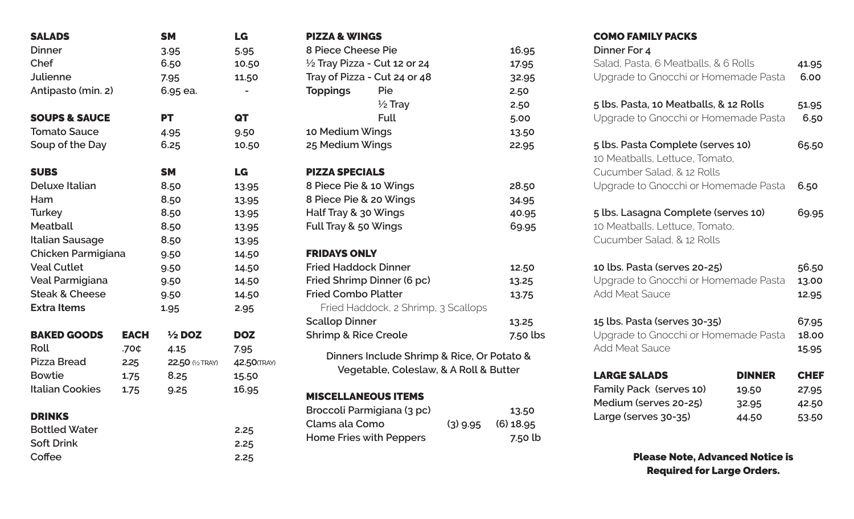| <b>SALADS</b>             |             | <b>SM</b>         | LG           |
|---------------------------|-------------|-------------------|--------------|
| <b>Dinner</b>             |             | 3.95              | 5.95         |
| Chef                      |             | 6.50              | 10.50        |
| <b>Julienne</b>           |             | 7.95              | 11.50        |
| Antipasto (min. 2)        |             | 6.95 ea.          |              |
| <b>SOUPS &amp; SAUCE</b>  |             | <b>PT</b>         | QT           |
| <b>Tomato Sauce</b>       |             | 4.95              | 9.50         |
| Soup of the Day           |             | 6.25              | 10.50        |
| <b>SUBS</b>               |             | <b>SM</b>         | LG           |
| <b>Deluxe Italian</b>     |             | 8.50              | 13.95        |
| Ham                       |             | 8.50              | 13.95        |
| <b>Turkey</b>             |             | 8.50              | 13.95        |
| <b>Meatball</b>           |             | 8.50              | 13.95        |
| <b>Italian Sausage</b>    |             | 8.50              | 13.95        |
| Chicken Parmigiana        |             | 9.50              | 14.50        |
| <b>Veal Cutlet</b>        |             | 9.50              | 14.50        |
| Veal Parmigiana           |             | 9.50              | 14.50        |
| <b>Steak &amp; Cheese</b> |             | 9.50              | 14.50        |
| <b>Extra Items</b>        |             | 1.95              | 2.95         |
| <b>BAKED GOODS</b>        | <b>EACH</b> | $\frac{1}{2}$ DOZ | <b>DOZ</b>   |
| <b>Roll</b>               | .70¢        | 4.15              | 7.95         |
| <b>Pizza Bread</b>        | 2.25        | 22.50 (1/2 TRAY)  | 42.50 (TRAY) |
| <b>Bowtie</b>             | 1.75        | 8.25              | 15.50        |
| <b>Italian Cookies</b>    | 1.75        | 9.25              | 16.95        |
| <b>DRINKS</b>             |             |                   |              |
| <b>Bottled Water</b>      |             |                   | 2.25         |
| <b>Soft Drink</b>         |             |                   | 2.25         |
| Coffee                    |             |                   | 2.25         |

| <b>PIZZA &amp; WINGS</b>                   |            |             |
|--------------------------------------------|------------|-------------|
| 8 Piece Cheese Pie                         | 16.95      |             |
| 1/2 Tray Pizza - Cut 12 or 24              |            | 17.95       |
| Tray of Pizza - Cut 24 or 48               |            | 32.95       |
| <b>Toppings</b><br>Pie                     |            | 2.50        |
| $\frac{1}{2}$ Tray                         |            | 2.50        |
| <b>Full</b>                                |            | 5.00        |
| 10 Medium Wings                            |            | 13.50       |
| 25 Medium Wings                            |            | 22.95       |
|                                            |            |             |
| <b>PIZZA SPECIALS</b>                      |            |             |
| 8 Piece Pie & 10 Wings                     |            | 28.50       |
| 8 Piece Pie & 20 Wings                     | 34.95      |             |
| Half Tray & 30 Wings                       |            | 40.95       |
| Full Tray & 50 Wings                       |            | 69.95       |
|                                            |            |             |
| <b>FRIDAYS ONLY</b>                        |            |             |
| <b>Fried Haddock Dinner</b>                | 12.50      |             |
| Fried Shrimp Dinner (6 pc)                 |            | 13.25       |
| <b>Fried Combo Platter</b>                 |            | 13.75       |
| Fried Haddock, 2 Shrimp, 3 Scallops        |            |             |
| <b>Scallop Dinner</b>                      |            | 13.25       |
| <b>Shrimp &amp; Rice Creole</b>            |            | $7.50$ lbs  |
| Dinners Include Shrimp & Rice, Or Potato & |            |             |
| Vegetable, Coleslaw, & A Roll & Butter     |            |             |
|                                            |            |             |
| <b>MISCELLANEOUS ITEMS</b>                 |            |             |
| Broccoli Parmigiana (3 pc)                 |            | 13.50       |
| Clams ala Como                             | $(3)$ 9.95 | $(6)$ 18.95 |
| <b>Home Fries with Peppers</b>             |            | 7.50 lb     |

# COMO FAMILY PACKS

| Dinner For 4<br>Salad, Pasta, 6 Meatballs, & 6 Rolls<br>Upgrade to Gnocchi or Homemade Pasta      |               |                         |
|---------------------------------------------------------------------------------------------------|---------------|-------------------------|
| 5 lbs. Pasta, 10 Meatballs, & 12 Rolls<br>Upgrade to Gnocchi or Homemade Pasta                    |               |                         |
| 5 lbs. Pasta Complete (serves 10)<br>10 Meatballs, Lettuce, Tomato,<br>Cucumber Salad, & 12 Rolls |               |                         |
| Upgrade to Gnocchi or Homemade Pasta<br>5 lbs. Lasagna Complete (serves 10)                       |               | 6.50<br>69.95           |
| 10 Meatballs, Lettuce, Tomato,<br>Cucumber Salad, & 12 Rolls                                      |               |                         |
| 10 lbs. Pasta (serves 20-25)<br>Upgrade to Gnocchi or Homemade Pasta<br><b>Add Meat Sauce</b>     |               | 56.50<br>13.00<br>12.95 |
| 15 lbs. Pasta (serves 30-35)<br>Upgrade to Gnocchi or Homemade Pasta<br><b>Add Meat Sauce</b>     |               | 67.95<br>18.00<br>15.95 |
| <b>LARGE SALADS</b>                                                                               | <b>DINNER</b> | <b>CHEF</b>             |
| Family Pack (serves 10)                                                                           | 19.50         | 27.95                   |
| Medium (serves 20-25)                                                                             | 32.95         | 42.50                   |
| Large (serves 30-35)                                                                              | 44.50         | 53.50                   |

Please Note, Advanced Notice is Required for Large Orders.